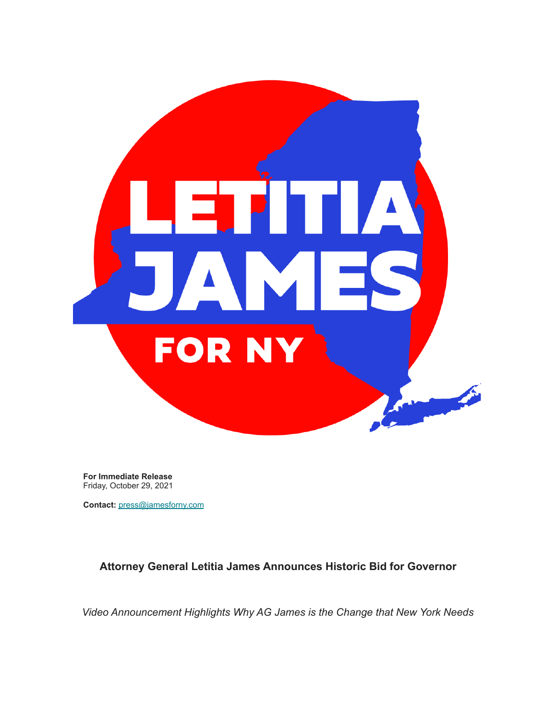

**For Immediate Release** Friday, October 29, 2021

**Contact:** press@jamesforny.com

**Attorney General Letitia James Announces Historic Bid for Governor**

*Video Announcement Highlights Why AG James is the Change that New York Needs*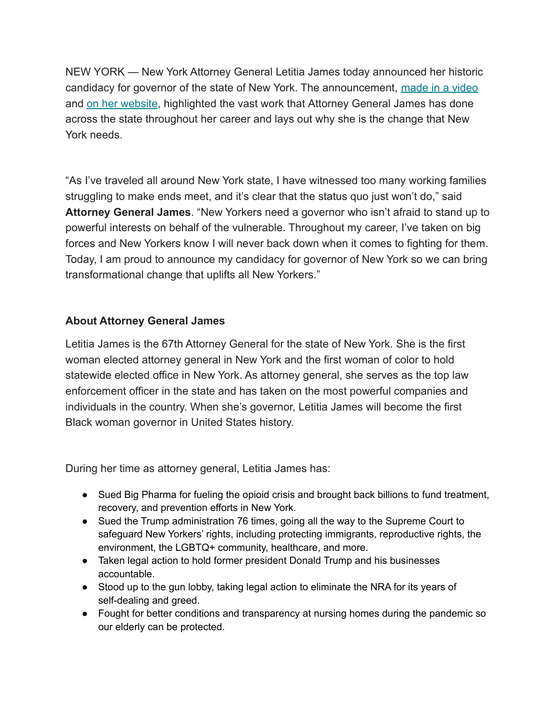NEW YORK — New York Attorney General Letitia James today announced her historic candidacy for governor of the state of New York. The announcement, [made in a video](https://gmail.us10.list-manage.com/track/click?u=abdba3466f5ea6eb632a39ea9&id=e0dd375083&e=b013d47e61) and [on her website](https://gmail.us10.list-manage.com/track/click?u=abdba3466f5ea6eb632a39ea9&id=8391903a00&e=b013d47e61), highlighted the vast work that Attorney General James has done across the state throughout her career and lays out why she is the change that New York needs.

"As I've traveled all around New York state, I have witnessed too many working families struggling to make ends meet, and it's clear that the status quo just won't do," said **Attorney General James**. "New Yorkers need a governor who isn't afraid to stand up to powerful interests on behalf of the vulnerable. Throughout my career, I've taken on big forces and New Yorkers know I will never back down when it comes to fighting for them. Today, I am proud to announce my candidacy for governor of New York so we can bring transformational change that uplifts all New Yorkers."

## **About Attorney General James**

Letitia James is the 67th Attorney General for the state of New York. She is the first woman elected attorney general in New York and the first woman of color to hold statewide elected office in New York. As attorney general, she serves as the top law enforcement officer in the state and has taken on the most powerful companies and individuals in the country. When she's governor, Letitia James will become the first Black woman governor in United States history.

During her time as attorney general, Letitia James has:

- Sued Big Pharma for fueling the opioid crisis and brought back billions to fund treatment, recovery, and prevention efforts in New York.
- Sued the Trump administration 76 times, going all the way to the Supreme Court to safeguard New Yorkers' rights, including protecting immigrants, reproductive rights, the environment, the LGBTQ+ community, healthcare, and more.
- Taken legal action to hold former president Donald Trump and his businesses accountable.
- Stood up to the gun lobby, taking legal action to eliminate the NRA for its years of self-dealing and greed.
- Fought for better conditions and transparency at nursing homes during the pandemic so our elderly can be protected.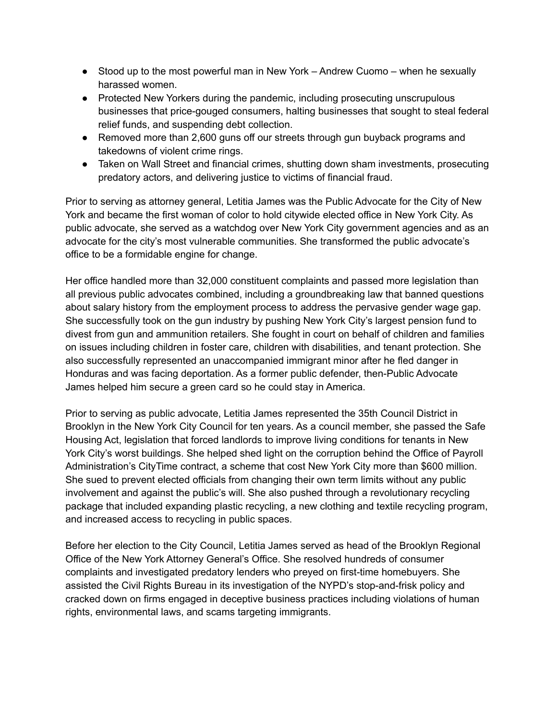- Stood up to the most powerful man in New York Andrew Cuomo when he sexually harassed women.
- Protected New Yorkers during the pandemic, including prosecuting unscrupulous businesses that price-gouged consumers, halting businesses that sought to steal federal relief funds, and suspending debt collection.
- Removed more than 2,600 guns off our streets through gun buyback programs and takedowns of violent crime rings.
- Taken on Wall Street and financial crimes, shutting down sham investments, prosecuting predatory actors, and delivering justice to victims of financial fraud.

Prior to serving as attorney general, Letitia James was the Public Advocate for the City of New York and became the first woman of color to hold citywide elected office in New York City. As public advocate, she served as a watchdog over New York City government agencies and as an advocate for the city's most vulnerable communities. She transformed the public advocate's office to be a formidable engine for change.

Her office handled more than 32,000 constituent complaints and passed more legislation than all previous public advocates combined, including a groundbreaking law that banned questions about salary history from the employment process to address the pervasive gender wage gap. She successfully took on the gun industry by pushing New York City's largest pension fund to divest from gun and ammunition retailers. She fought in court on behalf of children and families on issues including children in foster care, children with disabilities, and tenant protection. She also successfully represented an unaccompanied immigrant minor after he fled danger in Honduras and was facing deportation. As a former public defender, then-Public Advocate James helped him secure a green card so he could stay in America.

Prior to serving as public advocate, Letitia James represented the 35th Council District in Brooklyn in the New York City Council for ten years. As a council member, she passed the Safe Housing Act, legislation that forced landlords to improve living conditions for tenants in New York City's worst buildings. She helped shed light on the corruption behind the Office of Payroll Administration's CityTime contract, a scheme that cost New York City more than \$600 million. She sued to prevent elected officials from changing their own term limits without any public involvement and against the public's will. She also pushed through a revolutionary recycling package that included expanding plastic recycling, a new clothing and textile recycling program, and increased access to recycling in public spaces.

Before her election to the City Council, Letitia James served as head of the Brooklyn Regional Office of the New York Attorney General's Office. She resolved hundreds of consumer complaints and investigated predatory lenders who preyed on first-time homebuyers. She assisted the Civil Rights Bureau in its investigation of the NYPD's stop-and-frisk policy and cracked down on firms engaged in deceptive business practices including violations of human rights, environmental laws, and scams targeting immigrants.